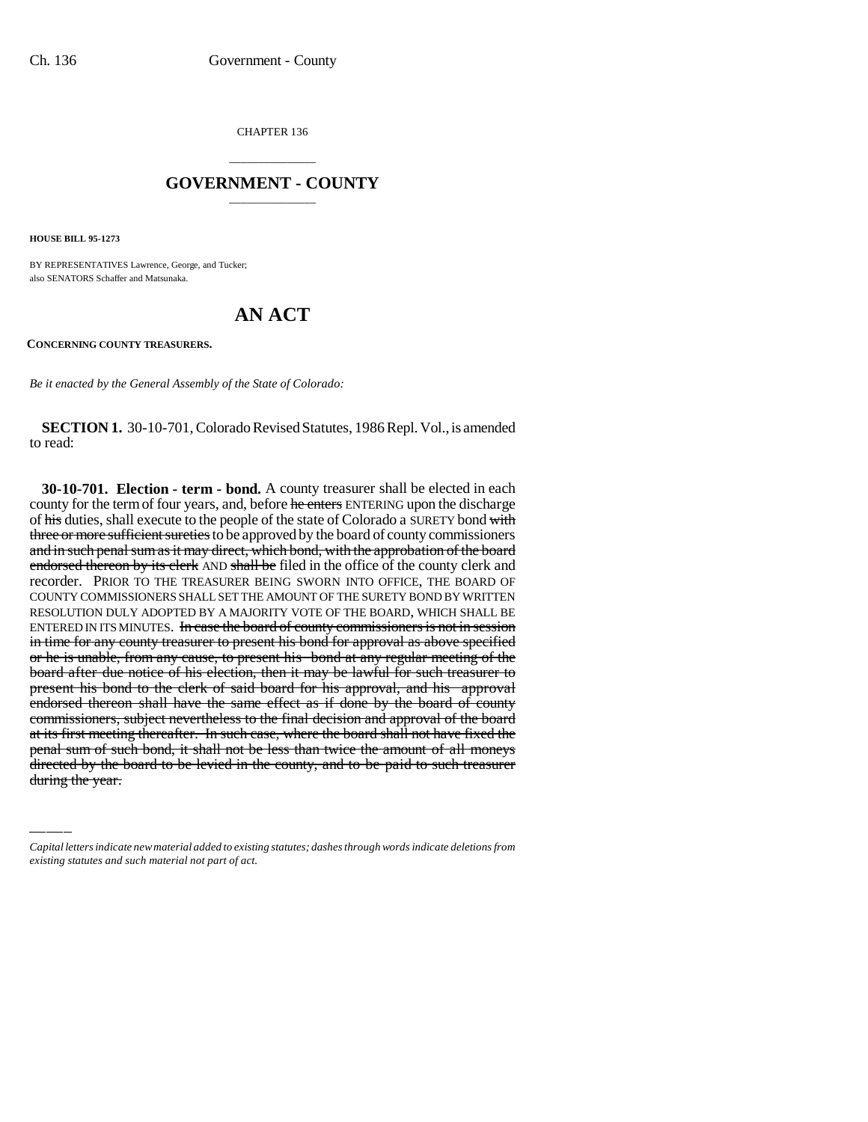CHAPTER 136

## \_\_\_\_\_\_\_\_\_\_\_\_\_\_\_ **GOVERNMENT - COUNTY** \_\_\_\_\_\_\_\_\_\_\_\_\_\_\_

**HOUSE BILL 95-1273**

BY REPRESENTATIVES Lawrence, George, and Tucker; also SENATORS Schaffer and Matsunaka.

## **AN ACT**

**CONCERNING COUNTY TREASURERS.**

*Be it enacted by the General Assembly of the State of Colorado:*

**SECTION 1.** 30-10-701, Colorado Revised Statutes, 1986 Repl. Vol., is amended to read:

commissioners, subject nevertheress to the final decision and approval of the board<br>at its first meeting thereafter. In such case, where the board shall not have fixed the **30-10-701. Election - term - bond.** A county treasurer shall be elected in each county for the term of four years, and, before he enters ENTERING upon the discharge of his duties, shall execute to the people of the state of Colorado a SURETY bond with three or more sufficient sureties to be approved by the board of county commissioners and in such penal sum as it may direct, which bond, with the approbation of the board endorsed thereon by its clerk AND shall be filed in the office of the county clerk and recorder. PRIOR TO THE TREASURER BEING SWORN INTO OFFICE, THE BOARD OF COUNTY COMMISSIONERS SHALL SET THE AMOUNT OF THE SURETY BOND BY WRITTEN RESOLUTION DULY ADOPTED BY A MAJORITY VOTE OF THE BOARD, WHICH SHALL BE ENTERED IN ITS MINUTES. In case the board of county commissioners is not in session in time for any county treasurer to present his bond for approval as above specified or he is unable, from any cause, to present his bond at any regular meeting of the board after due notice of his election, then it may be lawful for such treasurer to present his bond to the clerk of said board for his approval, and his approval endorsed thereon shall have the same effect as if done by the board of county commissioners, subject nevertheless to the final decision and approval of the board penal sum of such bond, it shall not be less than twice the amount of all moneys directed by the board to be levied in the county, and to be paid to such treasurer during the year.

*Capital letters indicate new material added to existing statutes; dashes through words indicate deletions from existing statutes and such material not part of act.*